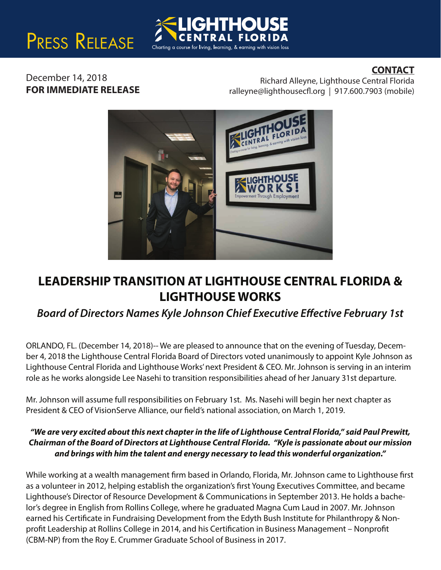# PRESS RELEASE

### **CONTACT**

December 14, 2018 **FOR IMMEDIATE RELEASE**

Richard Alleyne, Lighthouse Central Florida  $ralleyne@lighthousecfl.org | 917.600.7903 (mobile)$ 



Charting a course for living, learning, & earning with vision loss

# **LEADERSHIP TRANSITION AT LIGHTHOUSE CENTRAL FLORIDA & LIGHTHOUSE WORKS**

## **Board of Directors Names Kyle Johnson Chief Executive Effective February 1st**

ORLANDO, FL. (December 14, 2018)-- We are pleased to announce that on the evening of Tuesday, December 4, 2018 the Lighthouse Central Florida Board of Directors voted unanimously to appoint Kyle Johnson as Lighthouse Central Florida and Lighthouse Works' next President & CEO. Mr. Johnson is serving in an interim role as he works alongside Lee Nasehi to transition responsibilities ahead of her January 31st departure.

Mr. Johnson will assume full responsibilities on February 1st. Ms. Nasehi will begin her next chapter as President & CEO of VisionServe Alliance, our field's national association, on March 1, 2019.

#### *"We are very excited about this next chapter in the life of Lighthouse Central Florida," said Paul Prewitt, Chairman of the Board of Directors at Lighthouse Central Florida. "Kyle is passionate about our mission and brings with him the talent and energy necessary to lead this wonderful organization."*

While working at a wealth management firm based in Orlando, Florida, Mr. Johnson came to Lighthouse first as a volunteer in 2012, helping establish the organization's first Young Executives Committee, and became Lighthouse's Director of Resource Development & Communications in September 2013. He holds a bachelor's degree in English from Rollins College, where he graduated Magna Cum Laud in 2007. Mr. Johnson earned his Certificate in Fundraising Development from the Edyth Bush Institute for Philanthropy & Nonprofit Leadership at Rollins College in 2014, and his Certification in Business Management - Nonprofit (CBM-NP) from the Roy E. Crummer Graduate School of Business in 2017.